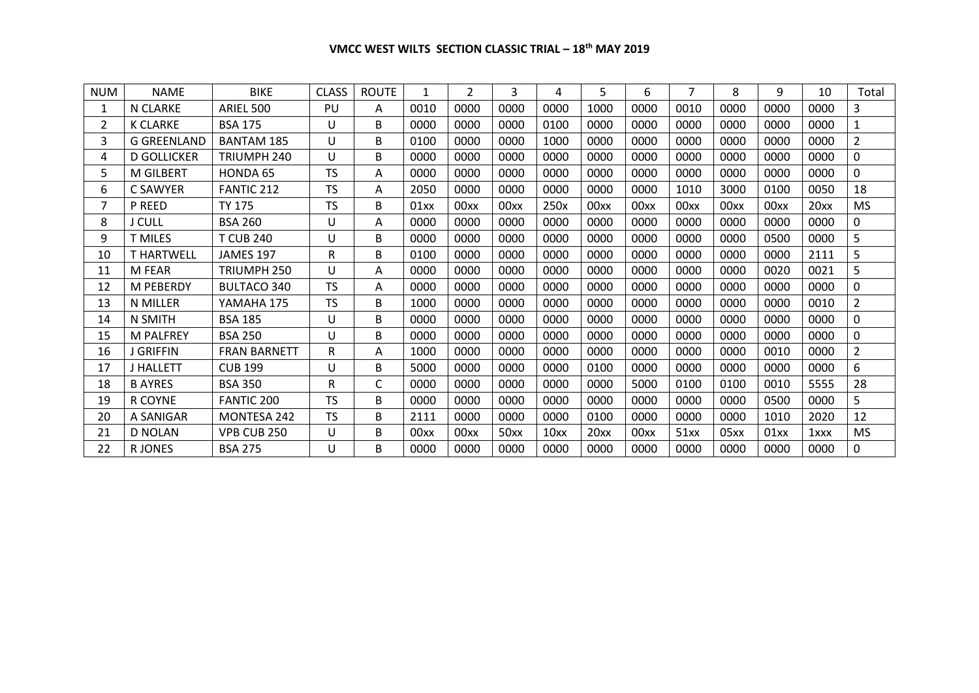| <b>NUM</b> | <b>NAME</b>        | <b>BIKE</b>         | <b>CLASS</b> | <b>ROUTE</b> | 1    | $\overline{2}$ | 3    | 4    | 5    | 6    | 7    | 8    | 9    | 10   | Total          |
|------------|--------------------|---------------------|--------------|--------------|------|----------------|------|------|------|------|------|------|------|------|----------------|
|            | N CLARKE           | ARIEL 500           | PU           | A            | 0010 | 0000           | 0000 | 0000 | 1000 | 0000 | 0010 | 0000 | 0000 | 0000 | 3              |
| 2          | <b>K CLARKE</b>    | <b>BSA 175</b>      | U            | B            | 0000 | 0000           | 0000 | 0100 | 0000 | 0000 | 0000 | 0000 | 0000 | 0000 | 1              |
| 3          | <b>G GREENLAND</b> | <b>BANTAM 185</b>   | U            | B            | 0100 | 0000           | 0000 | 1000 | 0000 | 0000 | 0000 | 0000 | 0000 | 0000 | $\overline{2}$ |
| 4          | <b>D GOLLICKER</b> | TRIUMPH 240         | U            | B            | 0000 | 0000           | 0000 | 0000 | 0000 | 0000 | 0000 | 0000 | 0000 | 0000 | $\mathbf 0$    |
| 5.         | <b>M GILBERT</b>   | HONDA 65            | <b>TS</b>    | A            | 0000 | 0000           | 0000 | 0000 | 0000 | 0000 | 0000 | 0000 | 0000 | 0000 | 0              |
| 6.         | C SAWYER           | <b>FANTIC 212</b>   | TS           | A            | 2050 | 0000           | 0000 | 0000 | 0000 | 0000 | 1010 | 3000 | 0100 | 0050 | 18             |
| 7          | <b>P REED</b>      | <b>TY 175</b>       | <b>TS</b>    | B            | 01xx | 00xx           | 00xx | 250x | 00xx | 00xx | 00xx | 00xx | 00xx | 20xx | <b>MS</b>      |
| 8          | <b>J CULL</b>      | <b>BSA 260</b>      | U            | A            | 0000 | 0000           | 0000 | 0000 | 0000 | 0000 | 0000 | 0000 | 0000 | 0000 | 0              |
| 9          | <b>T MILES</b>     | <b>T CUB 240</b>    | U            | B            | 0000 | 0000           | 0000 | 0000 | 0000 | 0000 | 0000 | 0000 | 0500 | 0000 | 5              |
| 10         | <b>T HARTWELL</b>  | JAMES 197           | R            | B            | 0100 | 0000           | 0000 | 0000 | 0000 | 0000 | 0000 | 0000 | 0000 | 2111 | 5              |
| 11         | M FEAR             | TRIUMPH 250         | U            | A            | 0000 | 0000           | 0000 | 0000 | 0000 | 0000 | 0000 | 0000 | 0020 | 0021 | 5              |
| 12         | <b>M PEBERDY</b>   | <b>BULTACO 340</b>  | <b>TS</b>    | A            | 0000 | 0000           | 0000 | 0000 | 0000 | 0000 | 0000 | 0000 | 0000 | 0000 | 0              |
| 13         | <b>N MILLER</b>    | YAMAHA 175          | <b>TS</b>    | B            | 1000 | 0000           | 0000 | 0000 | 0000 | 0000 | 0000 | 0000 | 0000 | 0010 | $\overline{2}$ |
| 14         | N SMITH            | <b>BSA 185</b>      | U            | B            | 0000 | 0000           | 0000 | 0000 | 0000 | 0000 | 0000 | 0000 | 0000 | 0000 | 0              |
| 15         | <b>M PALFREY</b>   | <b>BSA 250</b>      | U            | B            | 0000 | 0000           | 0000 | 0000 | 0000 | 0000 | 0000 | 0000 | 0000 | 0000 | 0              |
| 16         | <b>J GRIFFIN</b>   | <b>FRAN BARNETT</b> | R            | A            | 1000 | 0000           | 0000 | 0000 | 0000 | 0000 | 0000 | 0000 | 0010 | 0000 | $\overline{2}$ |
| 17         | <b>J HALLETT</b>   | <b>CUB 199</b>      | U            | B            | 5000 | 0000           | 0000 | 0000 | 0100 | 0000 | 0000 | 0000 | 0000 | 0000 | 6              |
| 18         | <b>B AYRES</b>     | <b>BSA 350</b>      | R            | C            | 0000 | 0000           | 0000 | 0000 | 0000 | 5000 | 0100 | 0100 | 0010 | 5555 | 28             |
| 19         | R COYNE            | FANTIC 200          | <b>TS</b>    | B            | 0000 | 0000           | 0000 | 0000 | 0000 | 0000 | 0000 | 0000 | 0500 | 0000 | 5              |
| 20         | A SANIGAR          | <b>MONTESA 242</b>  | <b>TS</b>    | B            | 2111 | 0000           | 0000 | 0000 | 0100 | 0000 | 0000 | 0000 | 1010 | 2020 | 12             |
| 21         | <b>D NOLAN</b>     | VPB CUB 250         | U            | B            | 00xx | 00xx           | 50xx | 10xx | 20xx | 00xx | 51xx | 05xx | 01xx | 1xxx | MS.            |
| 22         | <b>RJONES</b>      | <b>BSA 275</b>      | U            | В            | 0000 | 0000           | 0000 | 0000 | 0000 | 0000 | 0000 | 0000 | 0000 | 0000 | $\Omega$       |